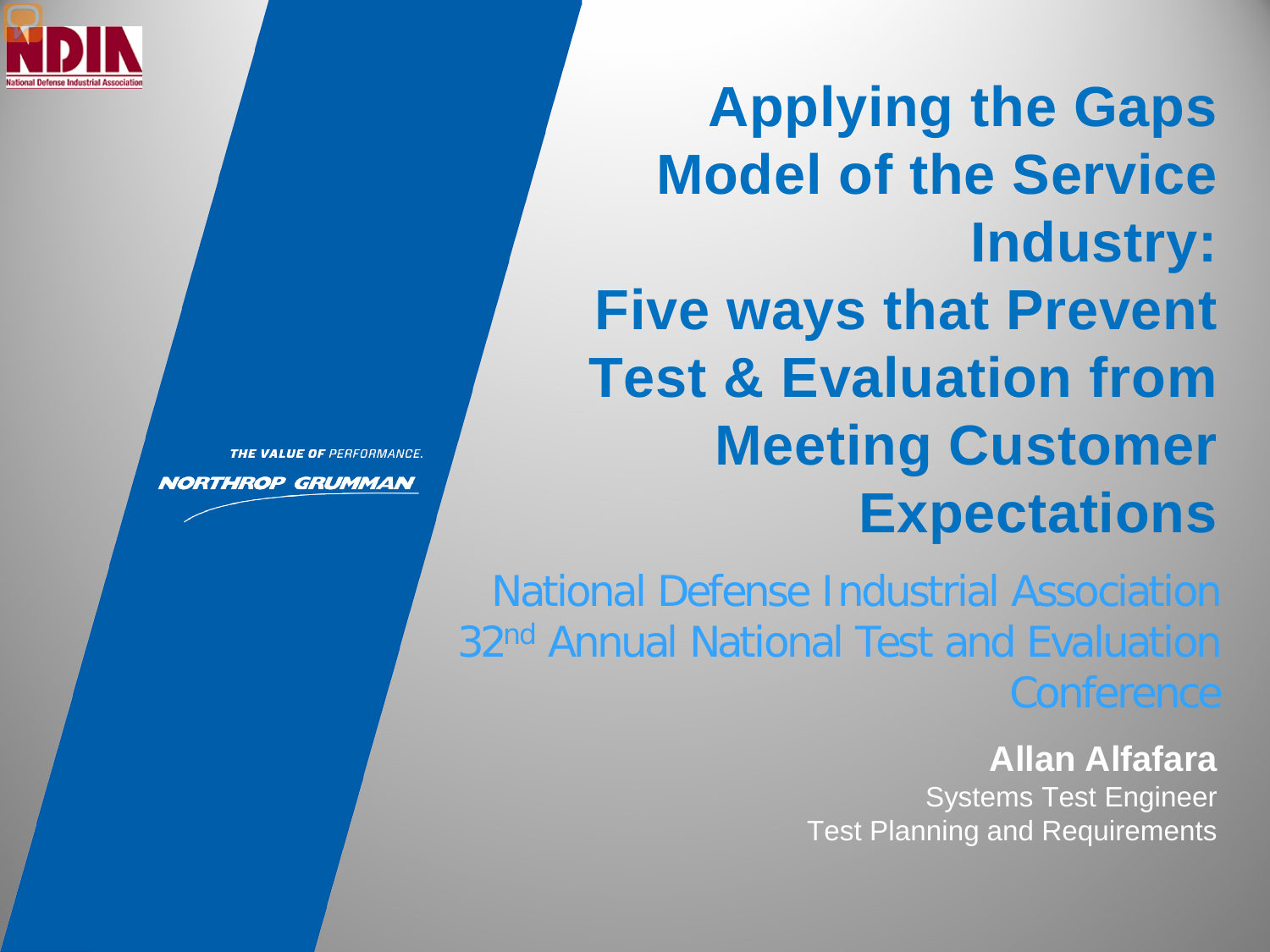

THE VALUE OF PERFORMANCE.

**NORTHROP GRUMMAN** 

**Applying the Gaps Model of the Service Industry: Five ways that Prevent Test & Evaluation from Meeting Customer Expectations**

National Defense Industrial Association 32<sup>nd</sup> Annual National Test and Evaluation

> **Allan Alfafara** Systems Test Engineer Test Planning and Requirements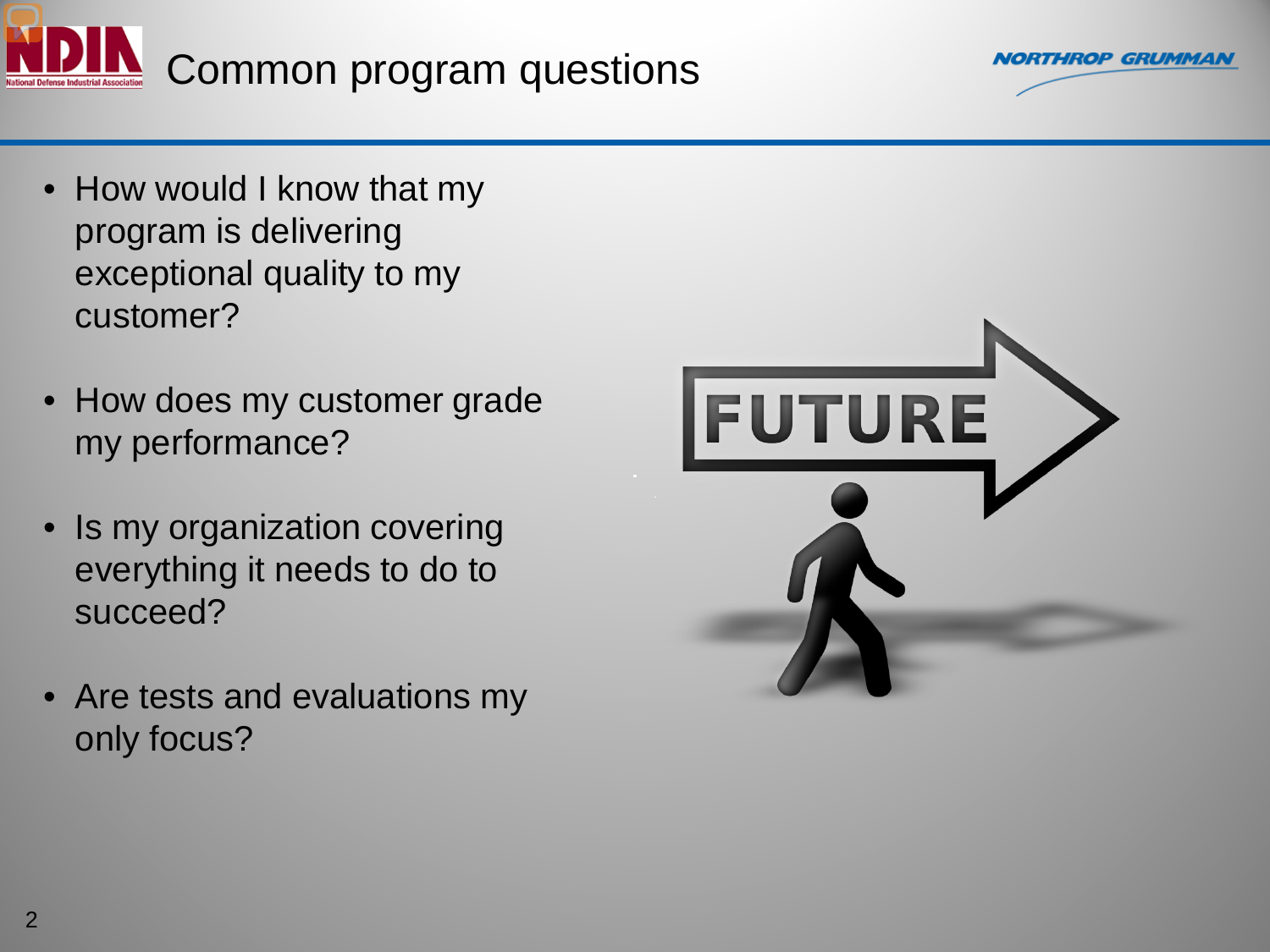



- How would I know that my program is delivering exceptional quality to my customer?
- How does my customer grade my performance?
- Is my organization covering everything it needs to do to succeed?
- Are tests and evaluations my only focus?

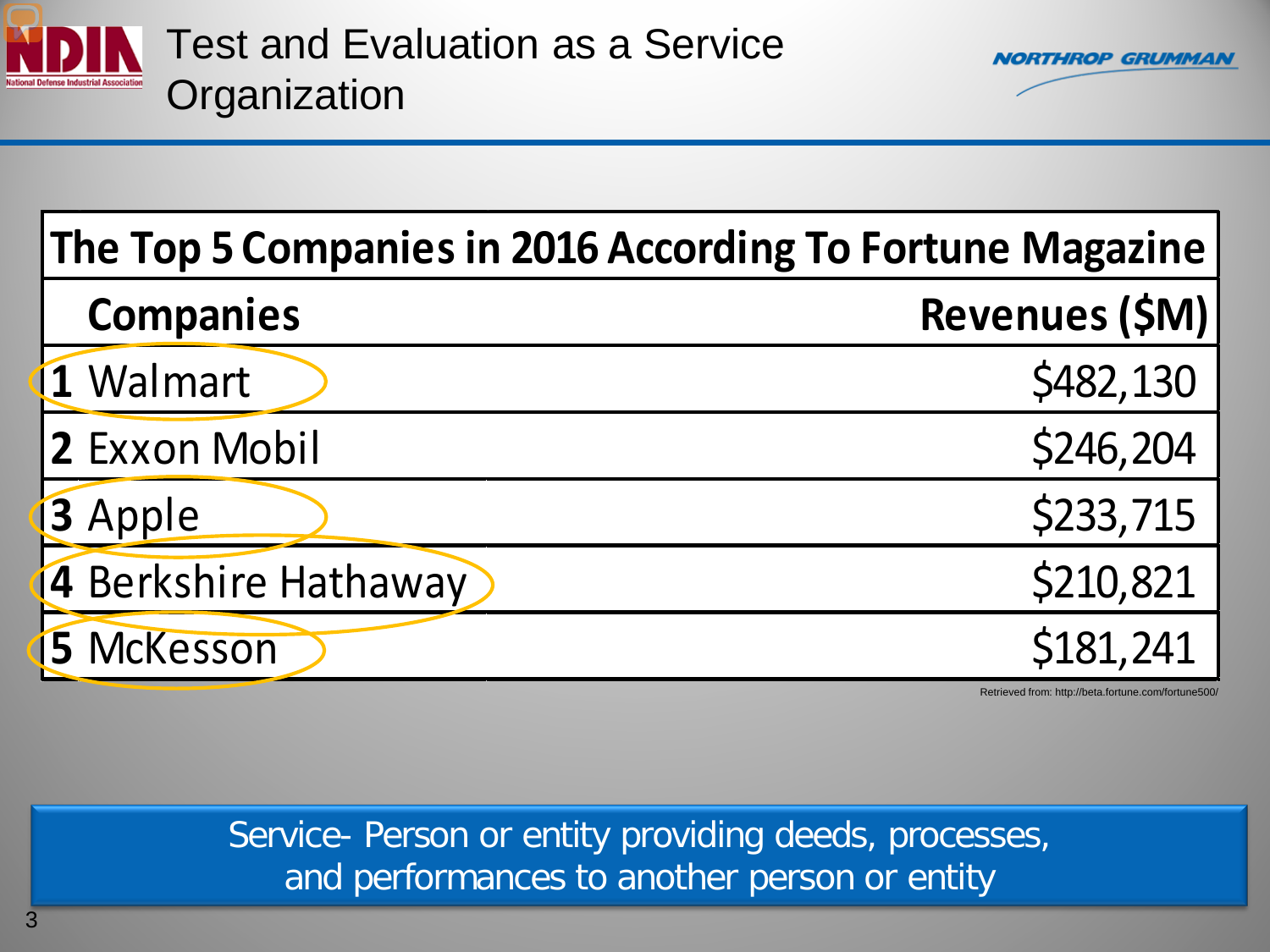

| The Top 5 Companies in 2016 According To Fortune Magazine |                       |
|-----------------------------------------------------------|-----------------------|
| <b>Companies</b>                                          | <b>Revenues (\$M)</b> |
| 1 Walmart                                                 | \$482,130             |
| 2 Exxon Mobil                                             | \$246,204             |
| 3 Apple                                                   | \$233,715             |
| 4 Berkshire Hathaway                                      | \$210,821             |
| <b>5 McKesson</b>                                         | \$181,241             |

Retrieved from: http://beta.fortune.com/fortune500/

*RTHROP GRUMMAN* 

Service- Person or entity providing deeds, processes, and performances to another person or entity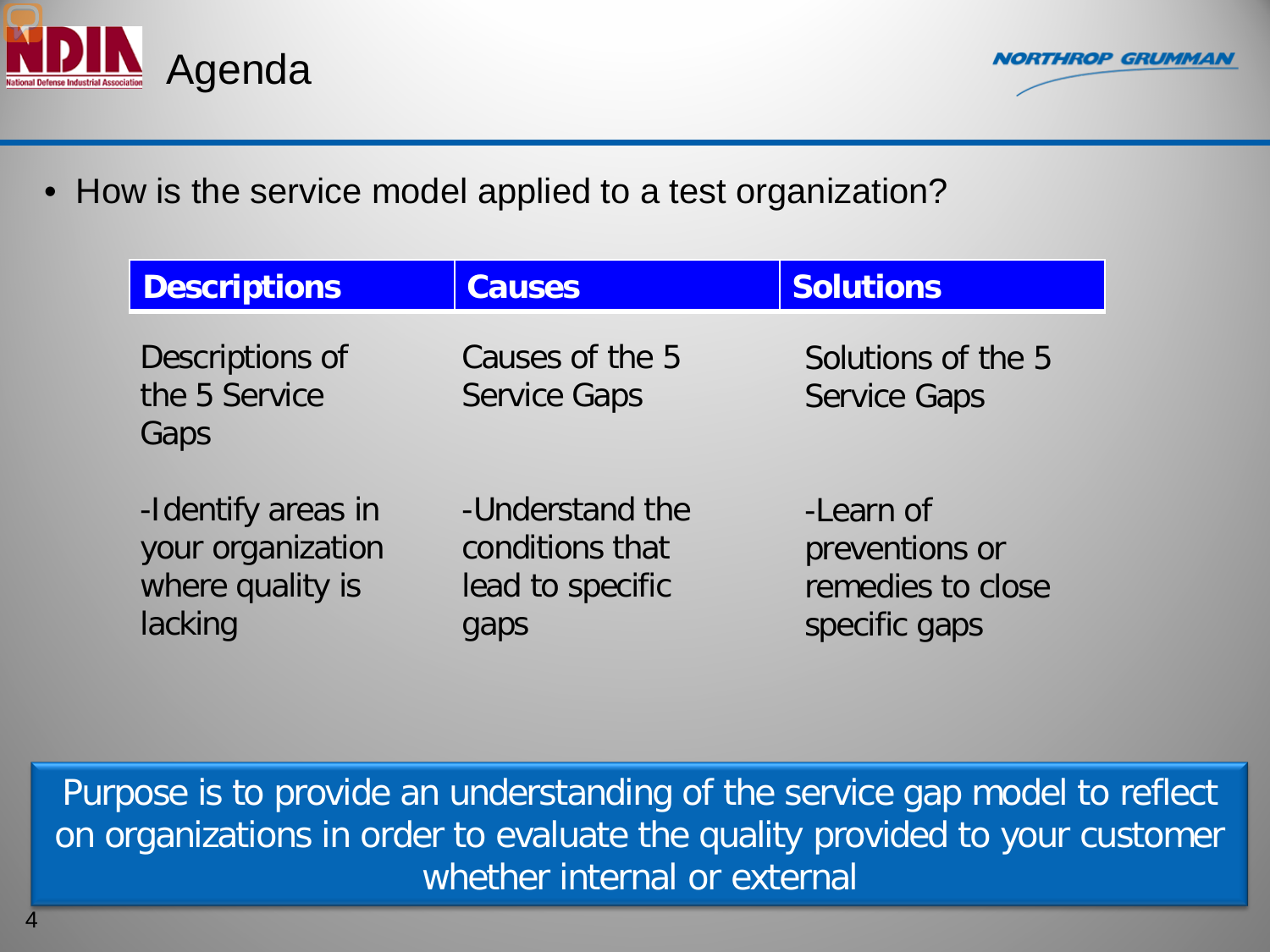



• How is the service model applied to a test organization?

| <b>Descriptions</b>                                                    | <b>Causes</b>                                                  | <b>Solutions</b>                                                  |
|------------------------------------------------------------------------|----------------------------------------------------------------|-------------------------------------------------------------------|
| Descriptions of<br>the 5 Service<br>Gaps                               | Causes of the 5<br><b>Service Gaps</b>                         | Solutions of the 5<br><b>Service Gaps</b>                         |
| -Identify areas in<br>your organization<br>where quality is<br>lacking | -Understand the<br>conditions that<br>lead to specific<br>gaps | -Learn of<br>preventions or<br>remedies to close<br>specific gaps |

Purpose is to provide an understanding of the service gap model to reflect on organizations in order to evaluate the quality provided to your customer whether internal or external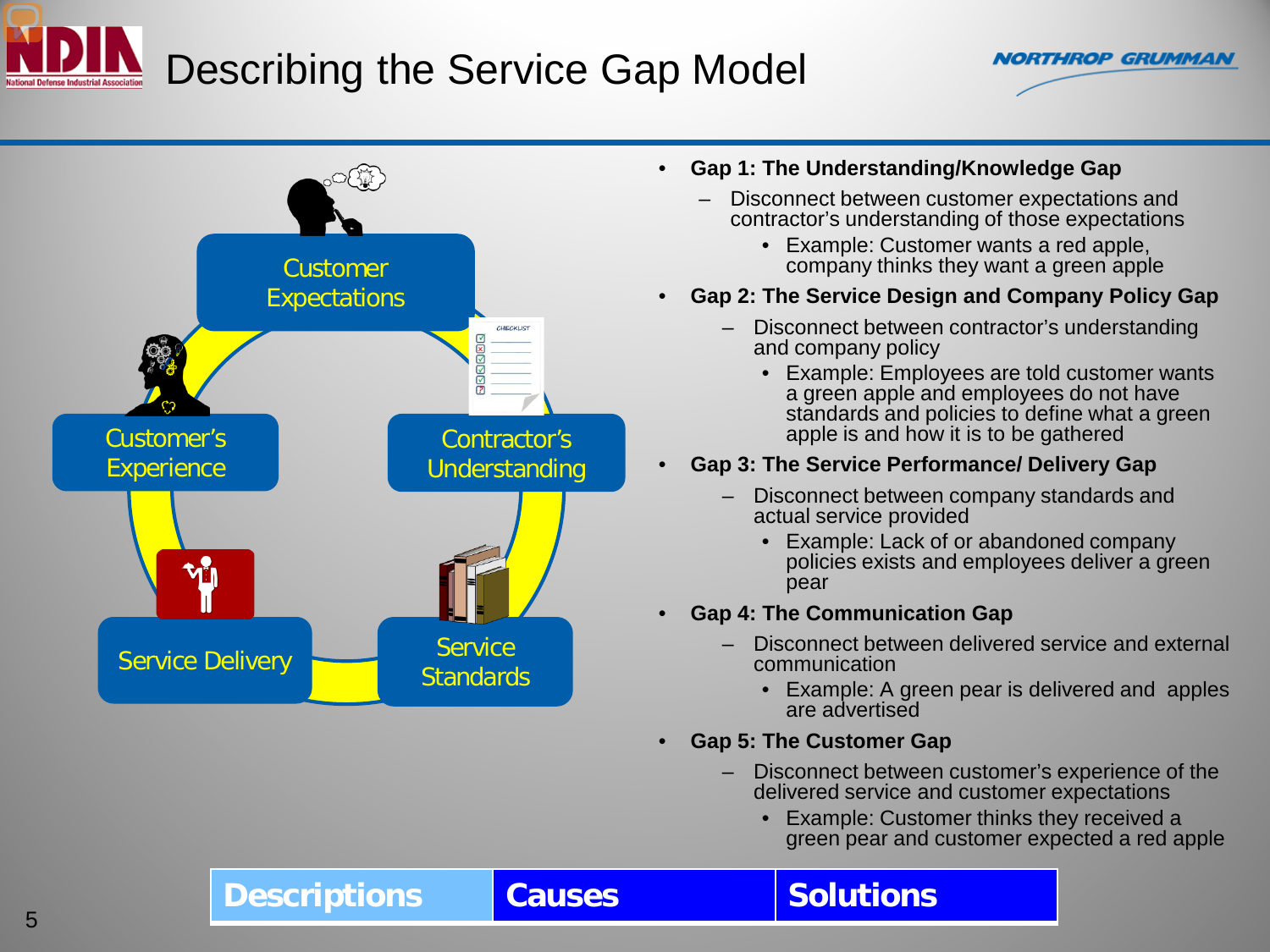## Describing the Service Gap Model



- **Gap 1: The Understanding/Knowledge Gap**
	- Disconnect between customer expectations and contractor's understanding of those expectations
		- Example: Customer wants a red apple, company thinks they want a green apple

**NORTHROP GRUMMAN** 

- **Gap 2: The Service Design and Company Policy Gap**
	- Disconnect between contractor's understanding and company policy
		- Example: Employees are told customer wants a green apple and employees do not have standards and policies to define what a green apple is and how it is to be gathered
- **Gap 3: The Service Performance/ Delivery Gap**
	- Disconnect between company standards and actual service provided
		- Example: Lack of or abandoned company policies exists and employees deliver a green pear
- **Gap 4: The Communication Gap**
	- Disconnect between delivered service and external communication
		- Example: A green pear is delivered and apples are advertised
- **Gap 5: The Customer Gap**
	- Disconnect between customer's experience of the delivered service and customer expectations
		- Example: Customer thinks they received a green pear and customer expected a red apple

**5 Descriptions Causes Resultions**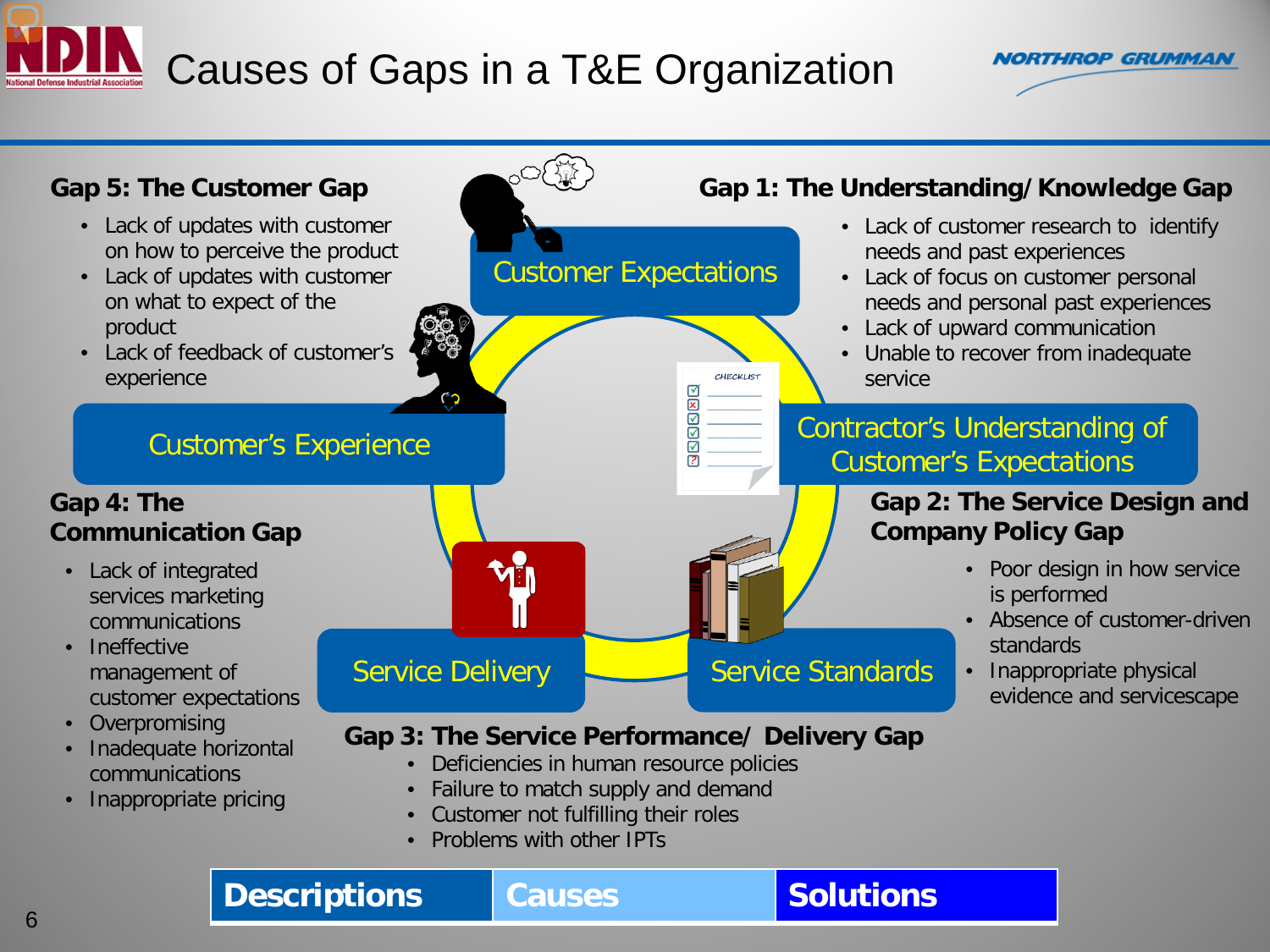## Causes of Gaps in a T&E Organization



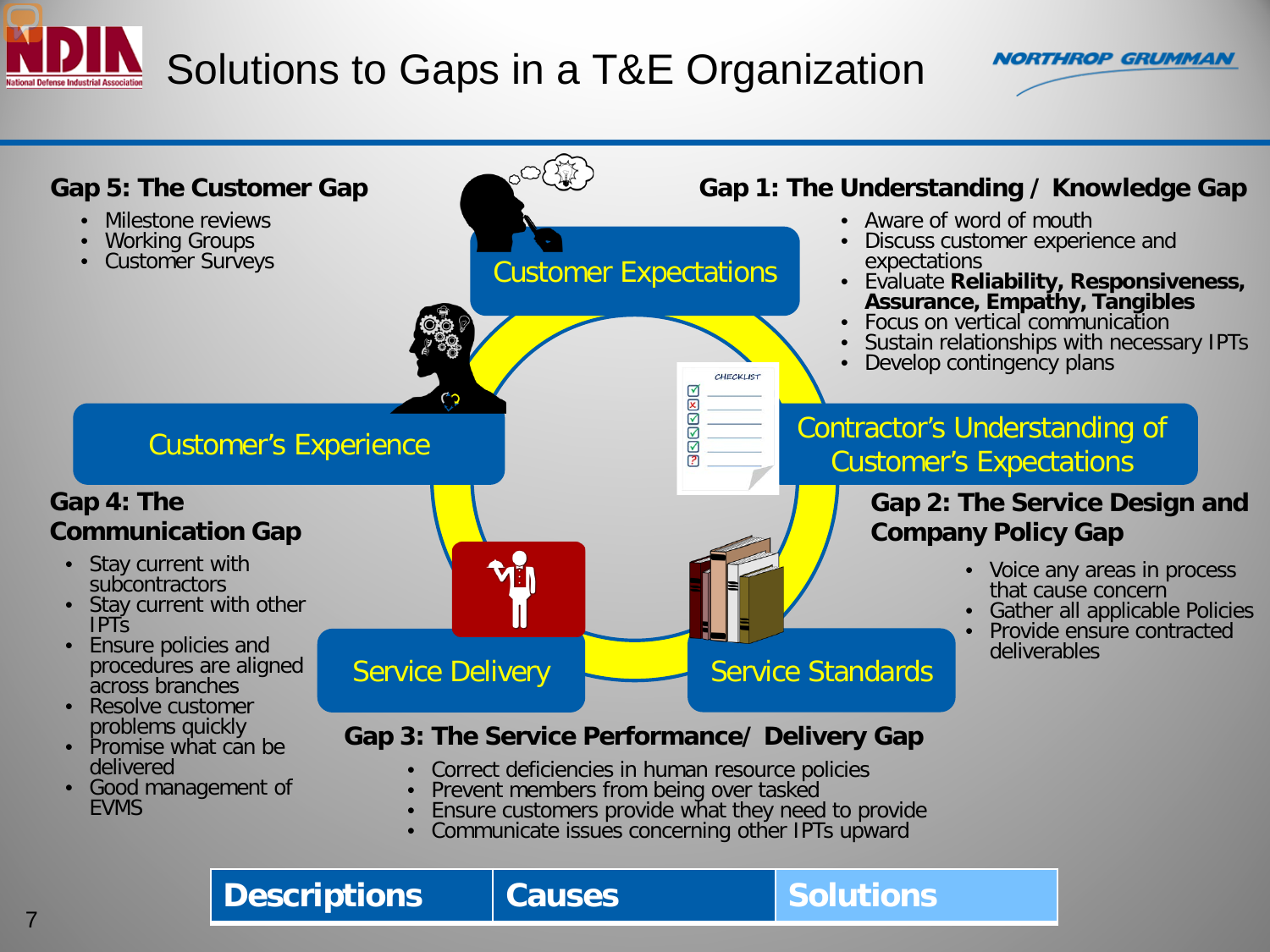## Solutions to Gaps in a T&E Organization



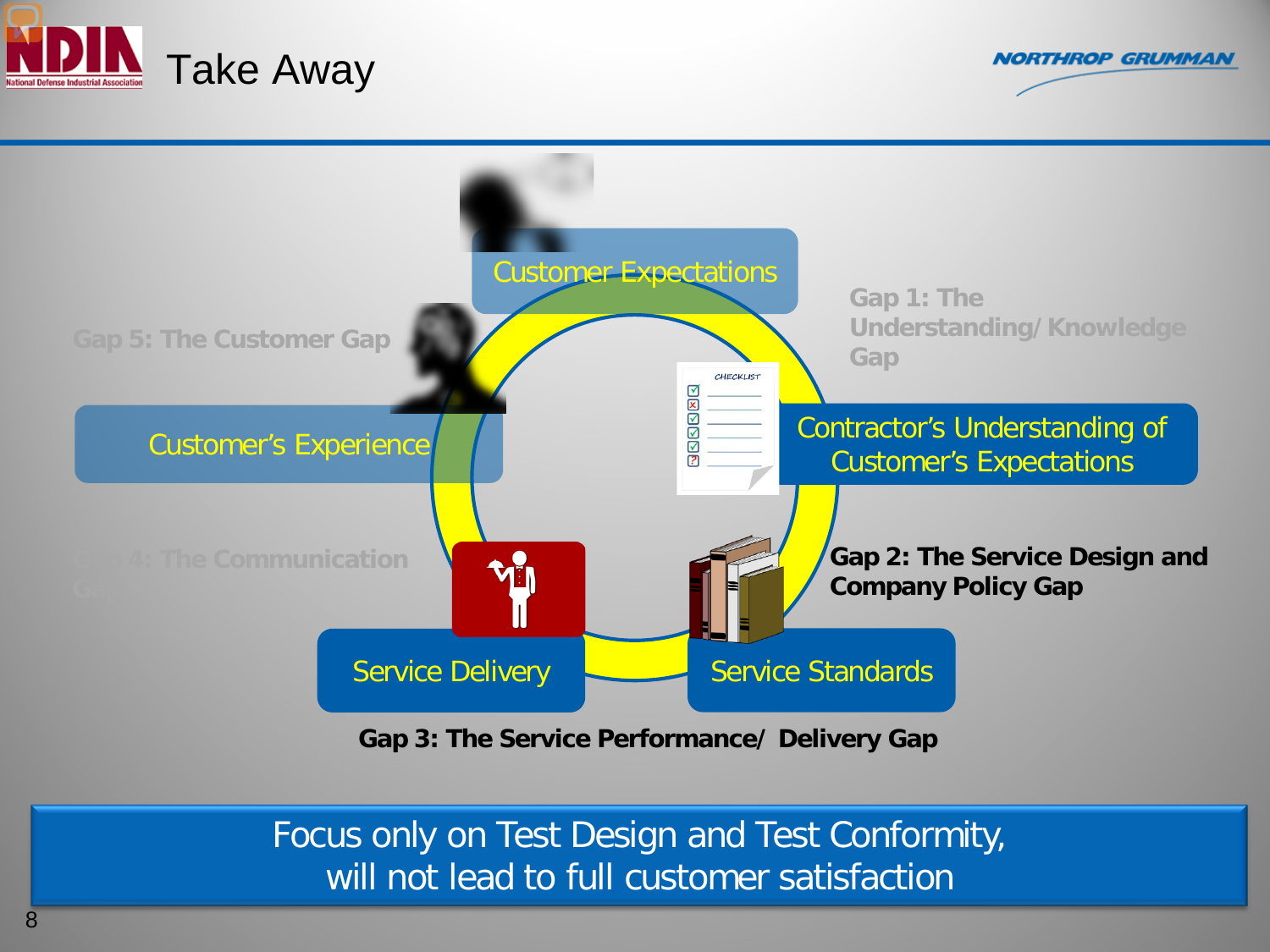





**Gap 3: The Service Performance/ Delivery Gap**

Focus only on Test Design and Test Conformity, will not lead to full customer satisfaction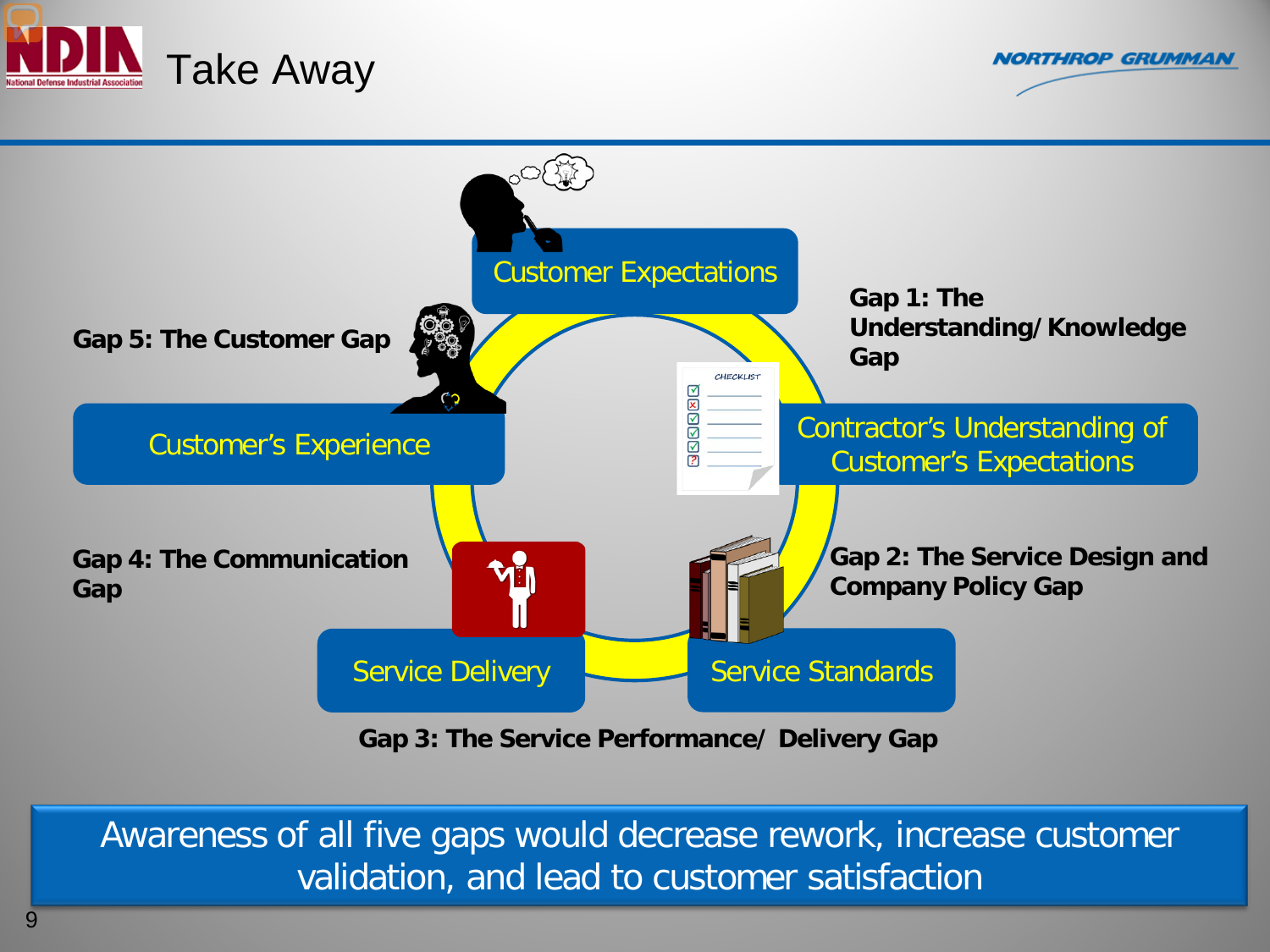





**Gap 3: The Service Performance/ Delivery Gap**

Awareness of all five gaps would decrease rework, increase customer validation, and lead to customer satisfaction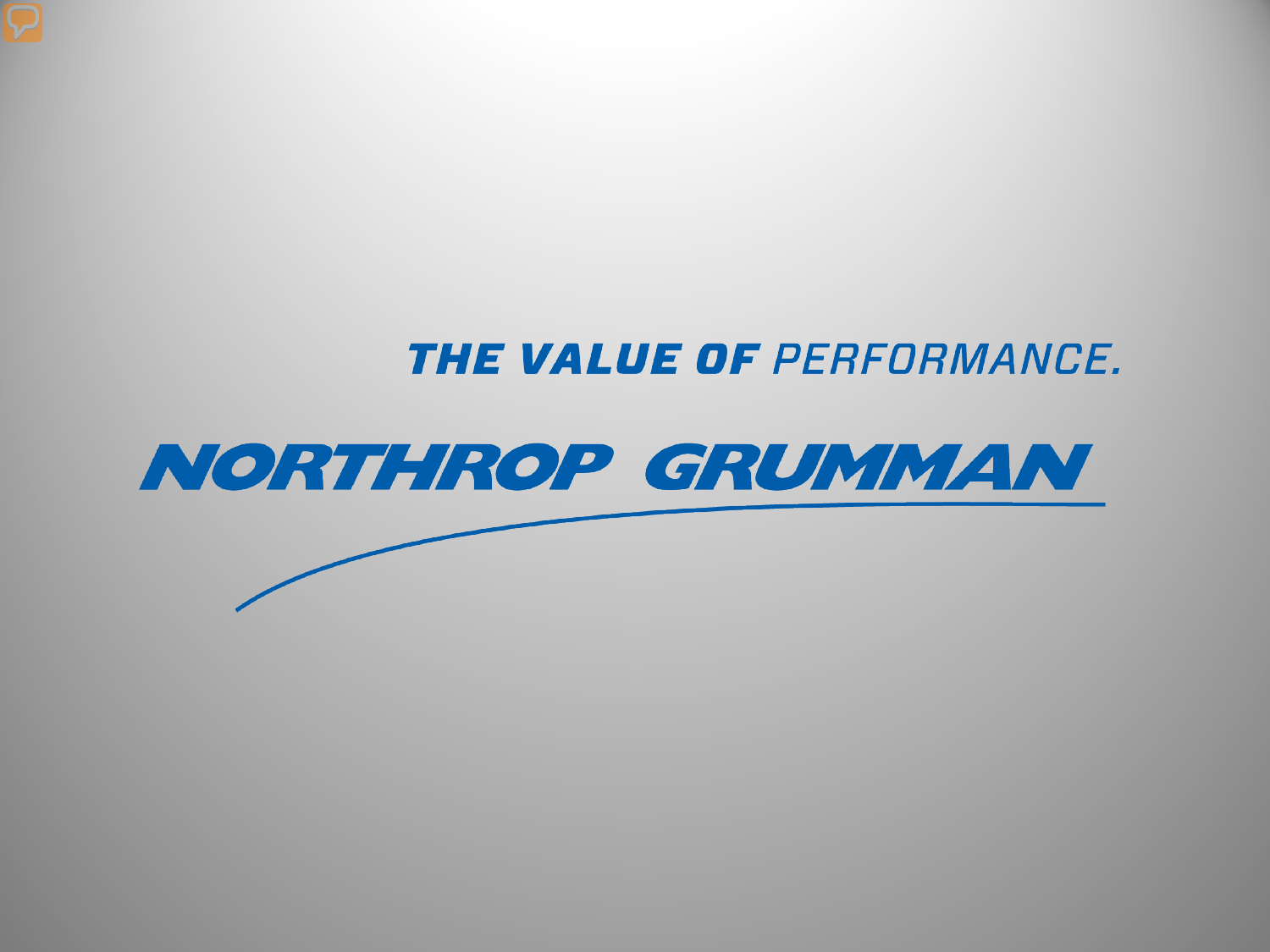## THE VALUE OF PERFORMANCE.

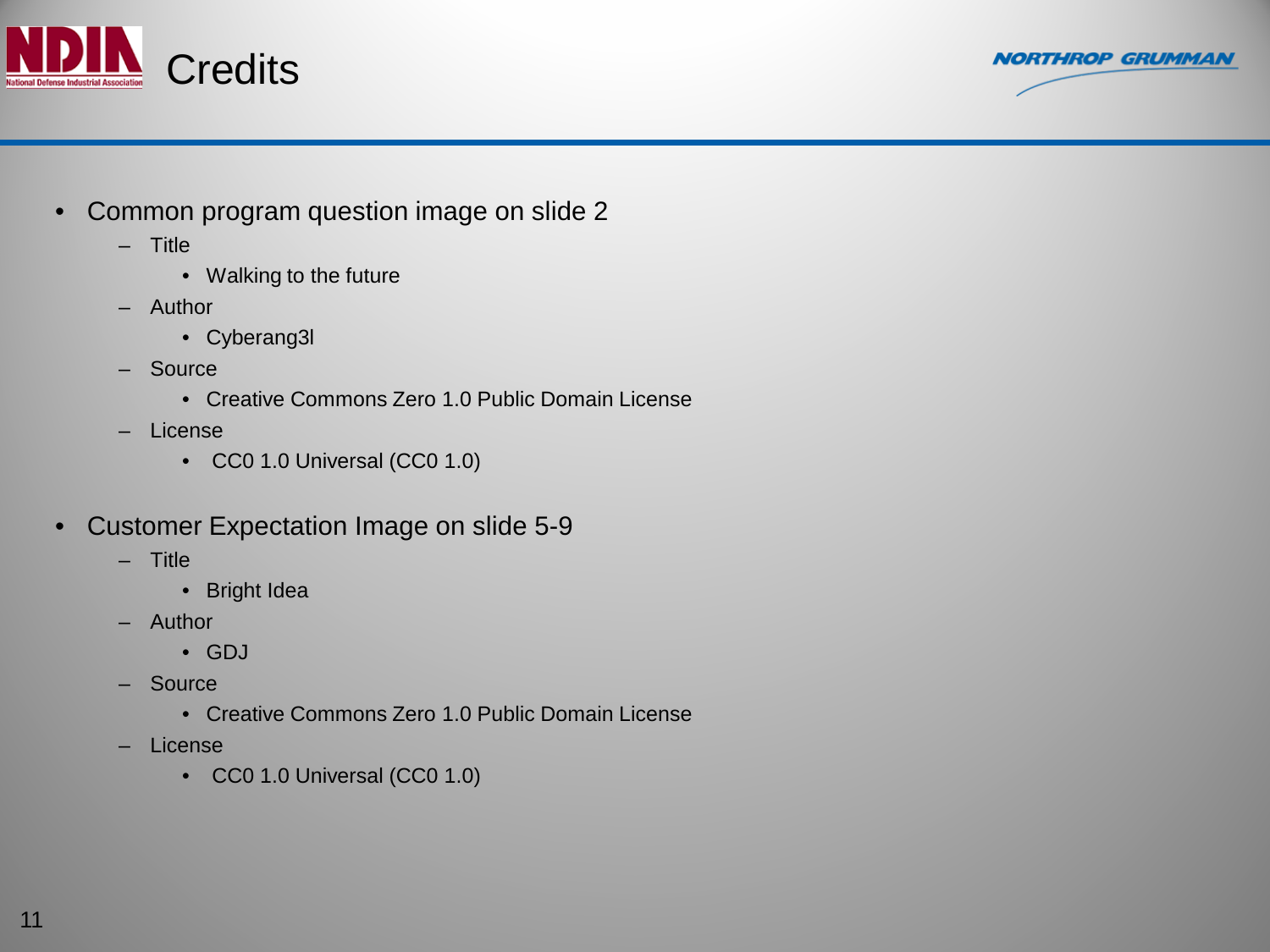



- Common program question image on slide 2
	- Title
		- Walking to the future
	- Author
		- Cyberang3l
	- Source
		- Creative Commons Zero 1.0 Public Domain License
	- License
		- CC0 1.0 Universal (CC0 1.0)
- Customer Expectation Image on slide 5-9
	- Title
		- Bright Idea
	- Author
		- GDJ
	- Source
		- Creative Commons Zero 1.0 Public Domain License
	- License
		- CC0 1.0 Universal (CC0 1.0)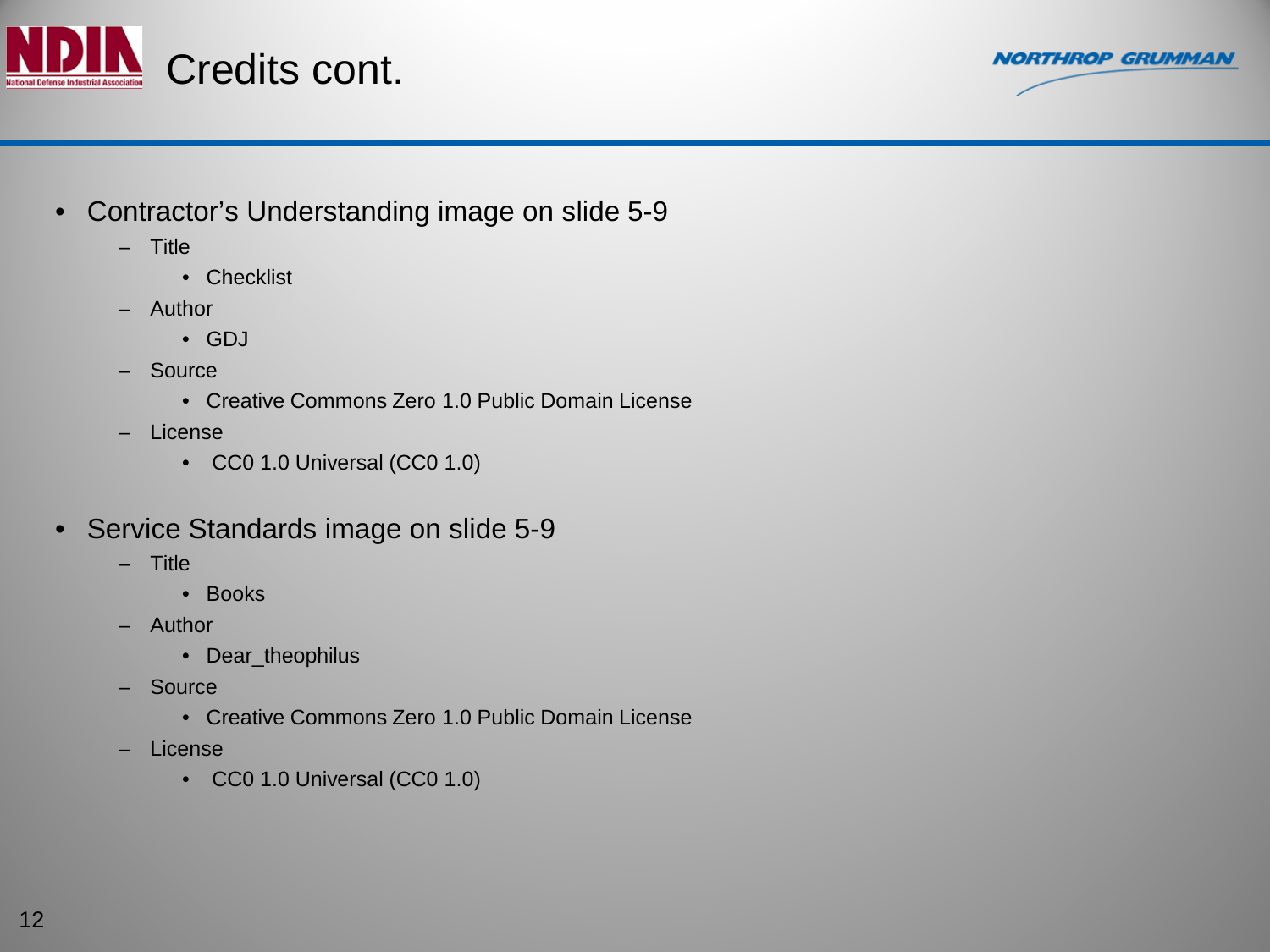



- Contractor's Understanding image on slide 5-9
	- Title
		- Checklist
	- Author
		- GDJ
	- Source
		- Creative Commons Zero 1.0 Public Domain License
	- License
		- CC0 1.0 Universal (CC0 1.0)
- Service Standards image on slide 5-9
	- Title
		- Books
	- Author
		- Dear\_theophilus
	- Source
		- Creative Commons Zero 1.0 Public Domain License
	- License
		- CC0 1.0 Universal (CC0 1.0)